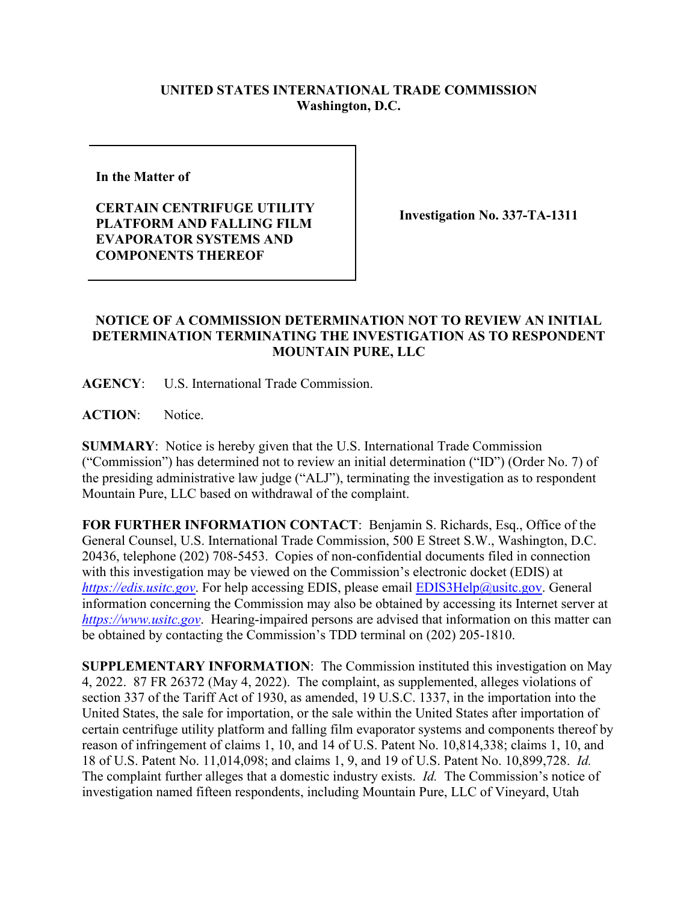## **UNITED STATES INTERNATIONAL TRADE COMMISSION Washington, D.C.**

**In the Matter of** 

**CERTAIN CENTRIFUGE UTILITY PLATFORM AND FALLING FILM EVAPORATOR SYSTEMS AND COMPONENTS THEREOF**

**Investigation No. 337-TA-1311**

## **NOTICE OF A COMMISSION DETERMINATION NOT TO REVIEW AN INITIAL DETERMINATION TERMINATING THE INVESTIGATION AS TO RESPONDENT MOUNTAIN PURE, LLC**

**AGENCY**: U.S. International Trade Commission.

**ACTION**: Notice.

**SUMMARY**: Notice is hereby given that the U.S. International Trade Commission ("Commission") has determined not to review an initial determination ("ID") (Order No. 7) of the presiding administrative law judge ("ALJ"), terminating the investigation as to respondent Mountain Pure, LLC based on withdrawal of the complaint.

**FOR FURTHER INFORMATION CONTACT**: Benjamin S. Richards, Esq., Office of the General Counsel, U.S. International Trade Commission, 500 E Street S.W., Washington, D.C. 20436, telephone (202) 708-5453. Copies of non-confidential documents filed in connection with this investigation may be viewed on the Commission's electronic docket (EDIS) at *[https://edis.usitc.gov](https://edis.usitc.gov/).* For help accessing EDIS, please email [EDIS3Help@usitc.gov.](mailto:EDIS3Help@usitc.gov) General information concerning the Commission may also be obtained by accessing its Internet server at *[https://www.usitc.gov](https://www.usitc.gov/)*. Hearing-impaired persons are advised that information on this matter can be obtained by contacting the Commission's TDD terminal on (202) 205-1810.

**SUPPLEMENTARY INFORMATION**: The Commission instituted this investigation on May 4, 2022. 87 FR 26372 (May 4, 2022). The complaint, as supplemented, alleges violations of section 337 of the Tariff Act of 1930, as amended, 19 U.S.C. 1337, in the importation into the United States, the sale for importation, or the sale within the United States after importation of certain centrifuge utility platform and falling film evaporator systems and components thereof by reason of infringement of claims 1, 10, and 14 of U.S. Patent No. 10,814,338; claims 1, 10, and 18 of U.S. Patent No. 11,014,098; and claims 1, 9, and 19 of U.S. Patent No. 10,899,728. *Id.* The complaint further alleges that a domestic industry exists. *Id.* The Commission's notice of investigation named fifteen respondents, including Mountain Pure, LLC of Vineyard, Utah